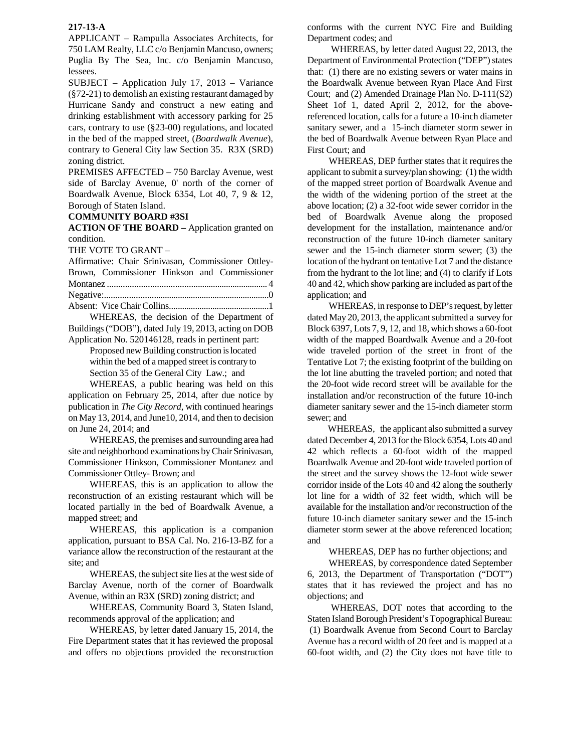## **217-13-A**

APPLICANT – Rampulla Associates Architects, for 750 LAM Realty, LLC c/o Benjamin Mancuso, owners; Puglia By The Sea, Inc. c/o Benjamin Mancuso, lessees.

SUBJECT – Application July 17, 2013 – Variance (§72-21) to demolish an existing restaurant damaged by Hurricane Sandy and construct a new eating and drinking establishment with accessory parking for 25 cars, contrary to use (§23-00) regulations, and located in the bed of the mapped street, (*Boardwalk Avenue*), contrary to General City law Section 35. R3X (SRD) zoning district.

PREMISES AFFECTED – 750 Barclay Avenue, west side of Barclay Avenue, 0' north of the corner of Boardwalk Avenue, Block 6354, Lot 40, 7, 9 & 12, Borough of Staten Island.

## **COMMUNITY BOARD #3SI**

**ACTION OF THE BOARD –** Application granted on condition.

THE VOTE TO GRANT –

| Affirmative: Chair Srinivasan, Commissioner Ottlev- |  |
|-----------------------------------------------------|--|
| Brown, Commissioner Hinkson and Commissioner        |  |
|                                                     |  |
|                                                     |  |
|                                                     |  |

 WHEREAS, the decision of the Department of Buildings ("DOB"), dated July 19, 2013, acting on DOB Application No. 520146128, reads in pertinent part:

Proposed new Building construction is located within the bed of a mapped street is contrary to Section 35 of the General City Law.; and

 WHEREAS, a public hearing was held on this application on February 25, 2014, after due notice by publication in *The City Record*, with continued hearings on May 13, 2014, and June10, 2014, and then to decision on June 24, 2014; and

 WHEREAS, the premises and surrounding area had site and neighborhood examinations by Chair Srinivasan, Commissioner Hinkson, Commissioner Montanez and Commissioner Ottley- Brown; and

 WHEREAS, this is an application to allow the reconstruction of an existing restaurant which will be located partially in the bed of Boardwalk Avenue, a mapped street; and

 WHEREAS, this application is a companion application, pursuant to BSA Cal. No. 216-13-BZ for a variance allow the reconstruction of the restaurant at the site; and

 WHEREAS, the subject site lies at the west side of Barclay Avenue, north of the corner of Boardwalk Avenue, within an R3X (SRD) zoning district; and

 WHEREAS, Community Board 3, Staten Island, recommends approval of the application; and

 WHEREAS, by letter dated January 15, 2014, the Fire Department states that it has reviewed the proposal and offers no objections provided the reconstruction conforms with the current NYC Fire and Building Department codes; and

 WHEREAS, by letter dated August 22, 2013, the Department of Environmental Protection ("DEP") states that: (1) there are no existing sewers or water mains in the Boardwalk Avenue between Ryan Place And First Court; and (2) Amended Drainage Plan No. D-111(S2) Sheet 1of 1, dated April 2, 2012, for the abovereferenced location, calls for a future a 10-inch diameter sanitary sewer, and a 15-inch diameter storm sewer in the bed of Boardwalk Avenue between Ryan Place and First Court; and

 WHEREAS, DEP further states that it requires the applicant to submit a survey/plan showing: (1) the width of the mapped street portion of Boardwalk Avenue and the width of the widening portion of the street at the above location; (2) a 32-foot wide sewer corridor in the bed of Boardwalk Avenue along the proposed development for the installation, maintenance and/or reconstruction of the future 10-inch diameter sanitary sewer and the 15-inch diameter storm sewer; (3) the location of the hydrant on tentative Lot 7 and the distance from the hydrant to the lot line; and (4) to clarify if Lots 40 and 42, which show parking are included as part of the application; and

 WHEREAS, in response to DEP's request, by letter dated May 20, 2013, the applicant submitted a survey for Block 6397, Lots 7, 9, 12, and 18, which shows a 60-foot width of the mapped Boardwalk Avenue and a 20-foot wide traveled portion of the street in front of the Tentative Lot 7; the existing footprint of the building on the lot line abutting the traveled portion; and noted that the 20-foot wide record street will be available for the installation and/or reconstruction of the future 10-inch diameter sanitary sewer and the 15-inch diameter storm sewer; and

 WHEREAS, the applicant also submitted a survey dated December 4, 2013 for the Block 6354, Lots 40 and 42 which reflects a 60-foot width of the mapped Boardwalk Avenue and 20-foot wide traveled portion of the street and the survey shows the 12-foot wide sewer corridor inside of the Lots 40 and 42 along the southerly lot line for a width of 32 feet width, which will be available for the installation and/or reconstruction of the future 10-inch diameter sanitary sewer and the 15-inch diameter storm sewer at the above referenced location; and

WHEREAS, DEP has no further objections; and

 WHEREAS, by correspondence dated September 6, 2013, the Department of Transportation ("DOT") states that it has reviewed the project and has no objections; and

 WHEREAS, DOT notes that according to the Staten Island Borough President's Topographical Bureau: (1) Boardwalk Avenue from Second Court to Barclay Avenue has a record width of 20 feet and is mapped at a 60-foot width, and (2) the City does not have title to